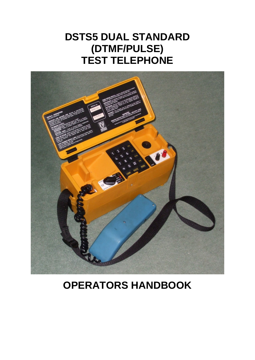# **DSTS5 DUAL STANDARD (DTMF/PULSE) TEST TELEPHONE**



# **OPERATORS HANDBOOK**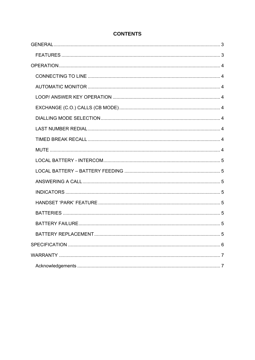# **CONTENTS**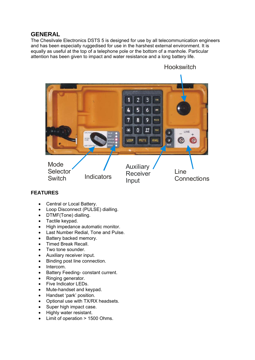# <span id="page-2-0"></span>**GENERAL**

The Chesilvale Electronics DSTS 5 is designed for use by all telecommunication engineers and has been especially ruggedised for use in the harshest external environment. It is equally as useful at the top of a telephone pole or the bottom of a manhole. Particular attention has been given to impact and water resistance and a long battery life.



# **FEATURES**

- Central or Local Battery.
- Loop Disconnect (PULSE) dialling.
- DTMF(Tone) dialling.
- Tactile keypad.
- High impedance automatic monitor.
- Last Number Redial, Tone and Pulse.
- Battery backed memory.
- Timed Break Recall.
- Two tone sounder.
- Auxiliary receiver input.
- Binding post line connection.
- Intercom.
- Battery Feeding- constant current.
- Ringing generator.
- Five Indicator LEDs.
- Mute-handset and keypad.
- Handset 'park' position.
- Optional use with TX/RX headsets.
- Super high impact case.
- Highly water resistant.
- Limit of operation > 1500 Ohms.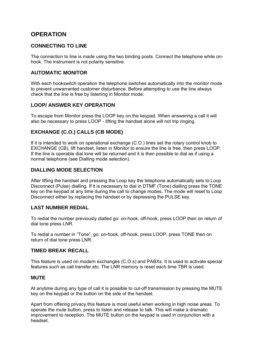# <span id="page-3-0"></span>**OPERATION**

#### **CONNECTING TO LINE**

The connection to line is made using the two binding posts. Connect the telephone while onhook. The instrument is not polarity sensitive.

#### **AUTOMATIC MONITOR**

With each hookswitch operation the telephone switches automatically into the monitor mode to prevent unwarranted customer disturbance. Before attempting to use the line always check that the line is free by listening in Monitor mode.

#### **LOOP/ ANSWER KEY OPERATION**

To escape from Monitor press the LOOP key on the keypad. When answering a call it will also be necessary to press LOOP - lifting the handset alone will not trip ringing.

## **EXCHANGE (C.O.) CALLS (CB MODE)**

If it is intended to work on operational exchange (C.O.) lines set the rotary control knob to EXCHANGE (CB), lift handset, listen in Monitor to ensure the line is free, then press LOOP. If the line is operable dial tone will be returned and it is then possible to dial as if using a normal telephone (see Dialling mode selection).

#### **DIALLING MODE SELECTION**

After lifting the handset and pressing the Loop key the telephone automatically sets to Loop Disconnect (Pulse) dialling. If it is necessary to dial in DTMF (Tone) dialling press the TONE key on the keypad at any time during the call to change modes. The mode will reset to Loop Disconnect either by replacing the handset or by depressing the PULSE key.

#### **LAST NUMBER REDIAL**

To redial the number previously dialled go: on-hook, off-hook, press LOOP then on return of dial tone press LNR.

To redial a number in "Tone", go: on-hook, off-hook, press LOOP, press TONE then on return of dial tone press LNR.

#### **TIMED BREAK RECALL**

This feature is used on modern exchanges (C.O.s) and PABXs. It is used to activate special features such as call transfer etc. The LNR memory is reset each time TBR is used.

#### **MUTE**

At anytime during any type of call it is possible to cut-off transmission by pressing the MUTE key on the keypad or the button on the side of the handset.

Apart from offering privacy this feature is most useful when working in high noise areas. To operate the mute button, press to listen and release to talk. This will make a dramatic improvement to reception. The MUTE button on the keypad is used in conjunction with a headset.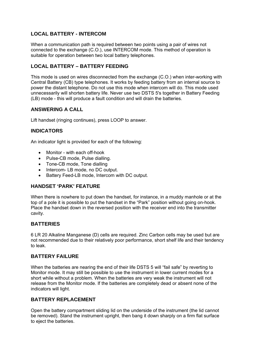# <span id="page-4-0"></span>**LOCAL BATTERY - INTERCOM**

When a communication path is required between two points using a pair of wires not connected to the exchange (C.O.), use INTERCOM mode. This method of operation is suitable for operation between two local battery telephones.

## **LOCAL BATTERY – BATTERY FEEDING**

This mode is used on wires disconnected from the exchange (C.O.) when inter-working with Central Battery (CB) type telephones. It works by feeding battery from an internal source to power the distant telephone. Do not use this mode when intercom will do. This mode used unnecessarily will shorten battery life. Never use two DSTS 5's together in Battery Feeding (LB) mode - this will produce a fault condition and will drain the batteries.

## **ANSWERING A CALL**

Lift handset (ringing continues), press LOOP to answer.

## **INDICATORS**

An indicator light is provided for each of the following:

- Monitor with each off-hook
- Pulse-CB mode, Pulse dialling.
- Tone-CB mode, Tone dialling
- Intercom- LB mode, no DC output.
- Battery Feed-LB mode, Intercom with DC output.

# **HANDSET 'PARK' FEATURE**

When there is nowhere to put down the handset, for instance, in a muddy manhole or at the top of a pole it is possible to put the handset in the "Park" position without going on-hook. Place the handset down in the reversed position with the receiver end into the transmitter cavity.

#### **BATTERIES**

6 LR 20 Alkaline Manganese (D) cells are required. Zinc Carbon cells may be used but are not recommended due to their relatively poor performance, short shelf life and their tendency to leak.

#### **BATTERY FAILURE**

When the batteries are nearing the end of their life DSTS 5 will "fail safe" by reverting to Monitor mode. It may still be possible to use the instrument in lower current modes for a short while without a problem. When the batteries are very weak the instrument will not release from the Monitor mode. If the batteries are completely dead or absent none of the indicators will light.

# **BATTERY REPLACEMENT**

Open the battery compartment sliding lid on the underside of the instrument (the lid cannot be removed). Stand the instrument upright, then bang it down sharply on a firm flat surface to eject the batteries.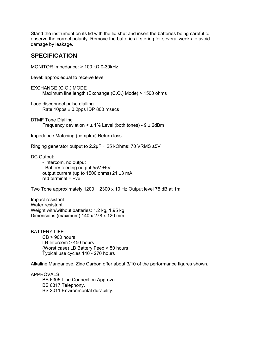<span id="page-5-0"></span>Stand the instrument on its lid with the lid shut and insert the batteries being careful to observe the correct polarity. Remove the batteries if storing for several weeks to avoid damage by leakage.

# **SPECIFICATION**

MONITOR Impedance: > 100 kΩ 0-30kHz Level: approx equal to receive level EXCHANGE (C.O.) MODE Maximum line length (Exchange (C.O.) Mode) > 1500 ohms Loop disconnect pulse dialling Rate 10pps ± 0.2pps IDP 800 msecs DTMF Tone Dialling Frequency deviation  $\leq \pm 1\%$  Level (both tones) -  $9 \pm 2d$ Bm Impedance Matching (complex) Return loss Ringing generator output to 2.2μF + 25 kOhms: 70 VRMS ±5V DC Output: - Intercom, no output - Battery feeding output 55V ±5V output current (up to 1500 ohms) 21 ±3 mA red terminal  $= +ve$ Two Tone approximately 1200 + 2300 x 10 Hz Output level 75 dB at 1m Impact resistant Water resistant Weight with/without batteries: 1.2 kg, 1.95 kg Dimensions (maximum) 140 x 278 x 120 mm

BATTERY LIFE CB > 900 hours LB Intercom > 450 hours (Worst case) LB Battery Feed > 50 hours Typical use cycles 140 - 270 hours

Alkaline Manganese. Zinc Carbon offer about 3/10 of the performance figures shown.

APPROVALS BS 6305 Line Connection Approval. BS 6317 Telephony. BS 2011 Environmental durability.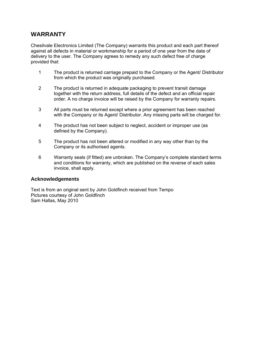# <span id="page-6-0"></span>**WARRANTY**

Chesilvale Electronics Limited (The Company) warrants this product and each part thereof against all defects in material or workmanship for a period of one year from the date of delivery to the user. The Company agrees to remedy any such defect free of charge provided that:

- 1 The product is returned carriage prepaid to the Company or the Agent/ Distributor from which the product was originally purchased.
- 2 The product is returned in adequate packaging to prevent transit damage together with the return address, full details of the defect and an official repair order. A no charge invoice will be raised by the Company for warranty repairs.
- 3 All parts must be returned except where a prior agreement has been reached with the Company or its Agent/ Distributor. Any missing parts will be charged for.
- 4 The product has not been subject to neglect, accident or improper use (as defined by the Company).
- 5 The product has not been altered or modified in any way other than by the Company or its authorised agents.
- 6 Warranty seals (if fitted) are unbroken. The Company's complete standard terms and conditions for warranty, which are published on the reverse of each sales invoice, shall apply.

#### **Acknowledgements**

Text is from an original sent by John Goldfinch received from Tempo Pictures courtesy of John Goldfinch Sam Hallas, May 2010